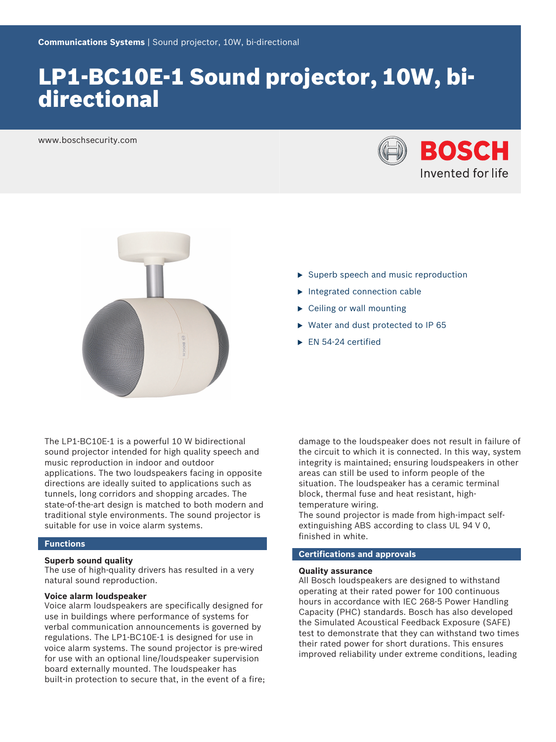# LP1-BC10E-1 Sound projector, 10W, bidirectional

www.boschsecurity.com





- $\triangleright$  Superb speech and music reproduction
- $\blacktriangleright$  Integrated connection cable
- $\triangleright$  Ceiling or wall mounting
- $\triangleright$  Water and dust protected to IP 65
- $\blacktriangleright$  EN 54-24 certified

The LP1-BC10E-1 is a powerful 10 W bidirectional sound projector intended for high quality speech and music reproduction in indoor and outdoor applications. The two loudspeakers facing in opposite directions are ideally suited to applications such as tunnels, long corridors and shopping arcades. The state-of-the-art design is matched to both modern and traditional style environments. The sound projector is suitable for use in voice alarm systems.

# **Functions**

# **Superb sound quality**

The use of high-quality drivers has resulted in a very natural sound reproduction.

# **Voice alarm loudspeaker**

Voice alarm loudspeakers are specifically designed for use in buildings where performance of systems for verbal communication announcements is governed by regulations. The LP1‑BC10E‑1 is designed for use in voice alarm systems. The sound projector is pre‑wired for use with an optional line/loudspeaker supervision board externally mounted. The loudspeaker has built-in protection to secure that, in the event of a fire; damage to the loudspeaker does not result in failure of the circuit to which it is connected. In this way, system integrity is maintained; ensuring loudspeakers in other areas can still be used to inform people of the situation. The loudspeaker has a ceramic terminal block, thermal fuse and heat resistant, hightemperature wiring.

The sound projector is made from high-impact selfextinguishing ABS according to class UL 94 V 0, finished in white.

# **Certifications and approvals**

## **Quality assurance**

All Bosch loudspeakers are designed to withstand operating at their rated power for 100 continuous hours in accordance with IEC 268‑5 Power Handling Capacity (PHC) standards. Bosch has also developed the Simulated Acoustical Feedback Exposure (SAFE) test to demonstrate that they can withstand two times their rated power for short durations. This ensures improved reliability under extreme conditions, leading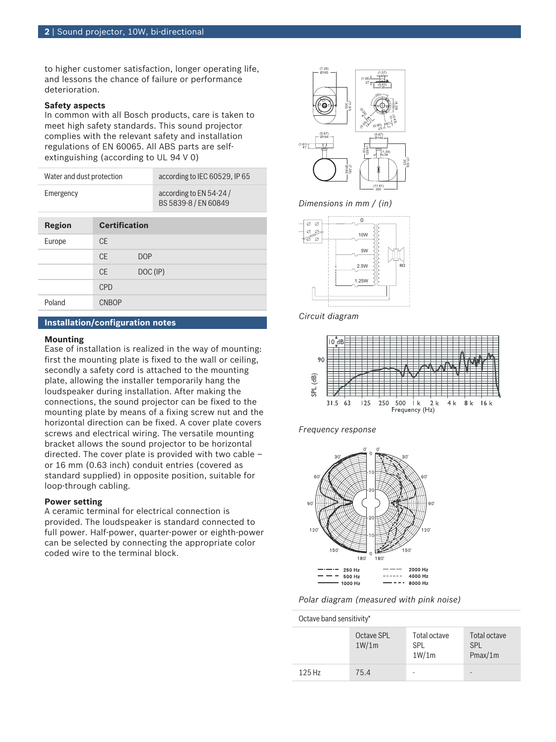to higher customer satisfaction, longer operating life, and lessons the chance of failure or performance deterioration.

# **Safety aspects**

In common with all Bosch products, care is taken to meet high safety standards. This sound projector complies with the relevant safety and installation regulations of EN 60065. All ABS parts are selfextinguishing (according to UL 94 V 0)

| Water and dust protection |                      | according to IEC 60529, IP 65                  |  |
|---------------------------|----------------------|------------------------------------------------|--|
| Emergency                 |                      | according to EN 54-24/<br>BS 5839-8 / EN 60849 |  |
|                           |                      |                                                |  |
| Region                    | <b>Certification</b> |                                                |  |
| Furano                    |                      |                                                |  |

| Europe | СE           |          |
|--------|--------------|----------|
|        | <b>CE</b>    | DOP      |
|        | CE           | DOC (IP) |
|        | <b>CPD</b>   |          |
| Poland | <b>CNBOP</b> |          |

# **Installation/configuration notes**

# **Mounting**

Ease of installation is realized in the way of mounting: first the mounting plate is fixed to the wall or ceiling, secondly a safety cord is attached to the mounting plate, allowing the installer temporarily hang the loudspeaker during installation. After making the connections, the sound projector can be fixed to the mounting plate by means of a fixing screw nut and the horizontal direction can be fixed. A cover plate covers screws and electrical wiring. The versatile mounting bracket allows the sound projector to be horizontal directed. The cover plate is provided with two cable – or 16 mm (0.63 inch) conduit entries (covered as standard supplied) in opposite position, suitable for loop-through cabling.

# **Power setting**

A ceramic terminal for electrical connection is provided. The loudspeaker is standard connected to full power. Half-power, quarter-power or eighth-power can be selected by connecting the appropriate color coded wire to the terminal block.



*Dimensions in mm / (in)*



*Circuit diagram*







*Polar diagram (measured with pink noise)*

# Octave band sensitivity\*

|        | Octave SPL<br>1W/1m | Total octave<br><b>SPI</b><br>1W/1m | Total octave<br><b>SPI</b><br>Pmax/1m |
|--------|---------------------|-------------------------------------|---------------------------------------|
| 125 Hz | 75.4                |                                     | $\overline{\phantom{0}}$              |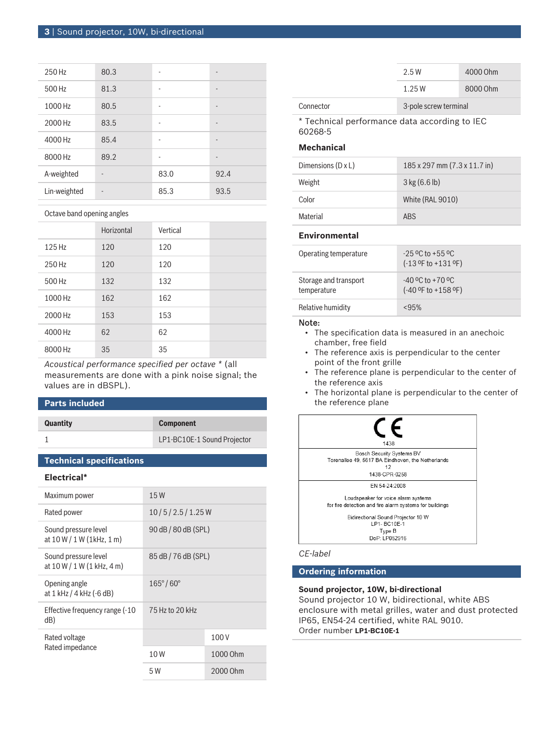| 250 Hz       | 80.3 |      | -                            |
|--------------|------|------|------------------------------|
| 500 Hz       | 81.3 |      | -                            |
| 1000 Hz      | 80.5 |      | $\qquad \qquad \blacksquare$ |
| 2000 Hz      | 83.5 | ۰    | -                            |
| 4000 Hz      | 85.4 | ۰    | $\overline{\phantom{m}}$     |
| 8000 Hz      | 89.2 | ۰    | $\qquad \qquad \blacksquare$ |
| A-weighted   |      | 83.0 | 92.4                         |
| Lin-weighted |      | 85.3 | 93.5                         |

Octave band opening angles

|         | Horizontal | Vertical |  |
|---------|------------|----------|--|
| 125 Hz  | 120        | 120      |  |
| 250 Hz  | 120        | 120      |  |
| 500 Hz  | 132        | 132      |  |
| 1000 Hz | 162        | 162      |  |
| 2000 Hz | 153        | 153      |  |
| 4000 Hz | 62         | 62       |  |
| 8000 Hz | 35         | 35       |  |

*Acoustical performance specified per octave \** (all measurements are done with a pink noise signal; the values are in dBSPL).

# **Parts included**

| <b>Quantity</b> | <b>Component</b>            |
|-----------------|-----------------------------|
|                 | LP1-BC10E-1 Sound Projector |

# **Technical specifications**

| etru<br>--<br>48 |
|------------------|
|------------------|

| Maximum power                                        | 15W                      |          |
|------------------------------------------------------|--------------------------|----------|
| Rated power                                          | 10/5/2.5/1.25W           |          |
| Sound pressure level<br>at $10 W / 1 W (1 kHz, 1 m)$ | 90 dB / 80 dB (SPL)      |          |
| Sound pressure level<br>at $10 W / 1 W (1 kHz, 4 m)$ | 85 dB / 76 dB (SPL)      |          |
| Opening angle<br>at 1 kHz / 4 kHz (-6 dB)            | $165^{\circ}/60^{\circ}$ |          |
| Effective frequency range (-10<br>dB)                | 75 Hz to 20 kHz          |          |
| Rated voltage                                        |                          | 100V     |
| Rated impedance                                      | 10W                      | 1000 Ohm |
|                                                      | 5 W                      | 2000 Ohm |
|                                                      |                          |          |

|           | 2.5W                  | 4000 Ohm |
|-----------|-----------------------|----------|
|           | 1.25W                 | 8000 Ohm |
| Connector | 3-pole screw terminal |          |

\* Technical performance data according to IEC 60268‑5

# **Mechanical**

| Dimensions $(D \times L)$ | 185 x 297 mm (7.3 x 11.7 in) |
|---------------------------|------------------------------|
| Weight                    | $3$ kg (6.6 lb)              |
| Color                     | White (RAL 9010)             |
| Material                  | <b>ARS</b>                   |

# **Environmental**

| Operating temperature                | $-25$ °C to +55 °C<br>$(-13$ °F to $+131$ °F)   |
|--------------------------------------|-------------------------------------------------|
| Storage and transport<br>temperature | $-40$ °C to $+70$ °C<br>$(-40$ °F to $+158$ °F) |
| Relative humidity                    | <95%                                            |

# Note:

- The specification data is measured in an anechoic chamber, free field
- The reference axis is perpendicular to the center point of the front grille
- The reference plane is perpendicular to the center of the reference axis
- The horizontal plane is perpendicular to the center of the reference plane



# *CE-label*

# **Ordering information**

# **Sound projector, 10W, bi-directional**

Sound projector 10 W, bidirectional, white ABS enclosure with metal grilles, water and dust protected IP65, EN54-24 certified, white RAL 9010. Order number **LP1-BC10E-1**